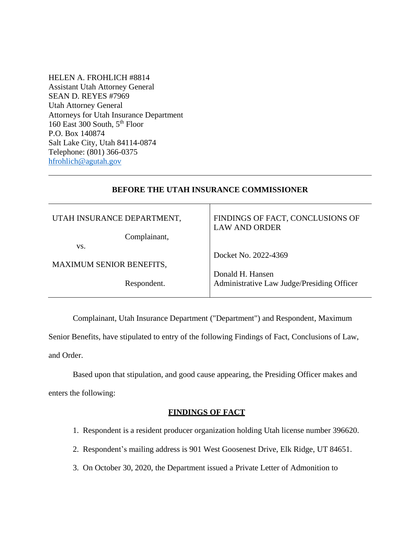HELEN A. FROHLICH #8814 Assistant Utah Attorney General SEAN D. REYES #7969 Utah Attorney General Attorneys for Utah Insurance Department 160 East 300 South, 5<sup>th</sup> Floor P.O. Box 140874 Salt Lake City, Utah 84114-0874 Telephone: (801) 366-0375 [hfrohlich@agutah.gov](mailto:hfrohlich@agutah.gov)

### **BEFORE THE UTAH INSURANCE COMMISSIONER**

| UTAH INSURANCE DEPARTMENT,      | FINDINGS OF FACT, CONCLUSIONS OF<br><b>LAW AND ORDER</b> |
|---------------------------------|----------------------------------------------------------|
| Complainant,                    |                                                          |
| VS.                             |                                                          |
|                                 | Docket No. 2022-4369                                     |
| <b>MAXIMUM SENIOR BENEFITS,</b> |                                                          |
|                                 | Donald H. Hansen                                         |
| Respondent.                     | Administrative Law Judge/Presiding Officer               |
|                                 |                                                          |

Complainant, Utah Insurance Department ("Department") and Respondent, Maximum

Senior Benefits, have stipulated to entry of the following Findings of Fact, Conclusions of Law, and Order.

Based upon that stipulation, and good cause appearing, the Presiding Officer makes and enters the following:

### **FINDINGS OF FACT**

- 1. Respondent is a resident producer organization holding Utah license number 396620.
- 2. Respondent's mailing address is 901 West Goosenest Drive, Elk Ridge, UT 84651.
- 3. On October 30, 2020, the Department issued a Private Letter of Admonition to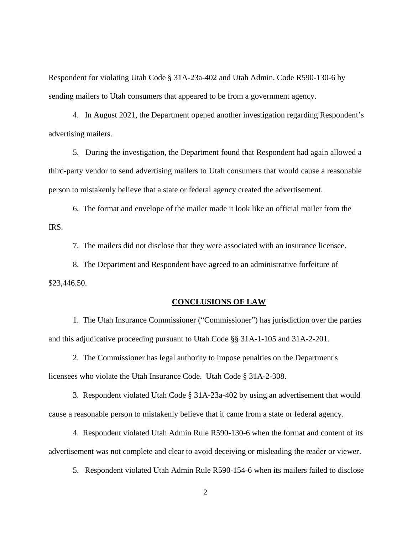Respondent for violating Utah Code § 31A-23a-402 and Utah Admin. Code R590-130-6 by sending mailers to Utah consumers that appeared to be from a government agency.

4. In August 2021, the Department opened another investigation regarding Respondent's advertising mailers.

5. During the investigation, the Department found that Respondent had again allowed a third-party vendor to send advertising mailers to Utah consumers that would cause a reasonable person to mistakenly believe that a state or federal agency created the advertisement.

6. The format and envelope of the mailer made it look like an official mailer from the IRS.

7. The mailers did not disclose that they were associated with an insurance licensee.

8. The Department and Respondent have agreed to an administrative forfeiture of \$23,446.50.

#### **CONCLUSIONS OF LAW**

1. The Utah Insurance Commissioner ("Commissioner") has jurisdiction over the parties and this adjudicative proceeding pursuant to Utah Code §§ 31A-1-105 and 31A-2-201.

2. The Commissioner has legal authority to impose penalties on the Department's licensees who violate the Utah Insurance Code. Utah Code § 31A-2-308.

3. Respondent violated Utah Code § 31A-23a-402 by using an advertisement that would cause a reasonable person to mistakenly believe that it came from a state or federal agency.

4. Respondent violated Utah Admin Rule R590-130-6 when the format and content of its advertisement was not complete and clear to avoid deceiving or misleading the reader or viewer.

5. Respondent violated Utah Admin Rule R590-154-6 when its mailers failed to disclose

2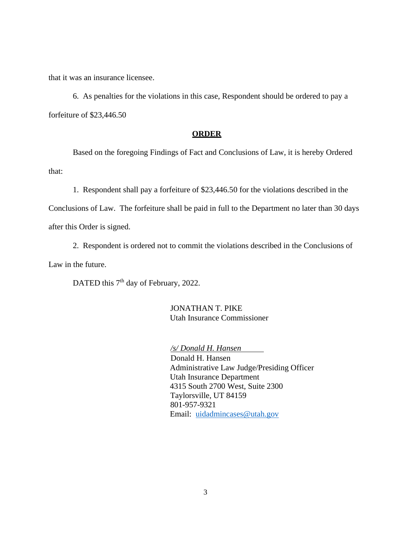that it was an insurance licensee.

6. As penalties for the violations in this case, Respondent should be ordered to pay a forfeiture of \$23,446.50

### **ORDER**

Based on the foregoing Findings of Fact and Conclusions of Law, it is hereby Ordered that:

1. Respondent shall pay a forfeiture of \$23,446.50 for the violations described in the

Conclusions of Law. The forfeiture shall be paid in full to the Department no later than 30 days

after this Order is signed.

2. Respondent is ordered not to commit the violations described in the Conclusions of Law in the future.

DATED this 7<sup>th</sup> day of February, 2022.

JONATHAN T. PIKE Utah Insurance Commissioner

*/s/ Donald H. Hansen*

 Donald H. Hansen Administrative Law Judge/Presiding Officer Utah Insurance Department 4315 South 2700 West, Suite 2300 Taylorsville, UT 84159 801-957-9321 Email: [uidadmincases@utah.gov](mailto:uidadmincases@utah.gov)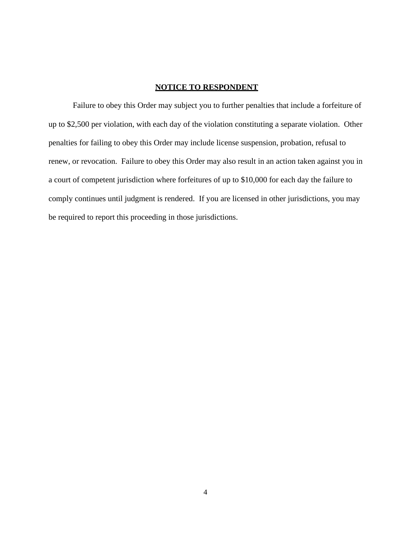## **NOTICE TO RESPONDENT**

Failure to obey this Order may subject you to further penalties that include a forfeiture of up to \$2,500 per violation, with each day of the violation constituting a separate violation. Other penalties for failing to obey this Order may include license suspension, probation, refusal to renew, or revocation. Failure to obey this Order may also result in an action taken against you in a court of competent jurisdiction where forfeitures of up to \$10,000 for each day the failure to comply continues until judgment is rendered. If you are licensed in other jurisdictions, you may be required to report this proceeding in those jurisdictions.